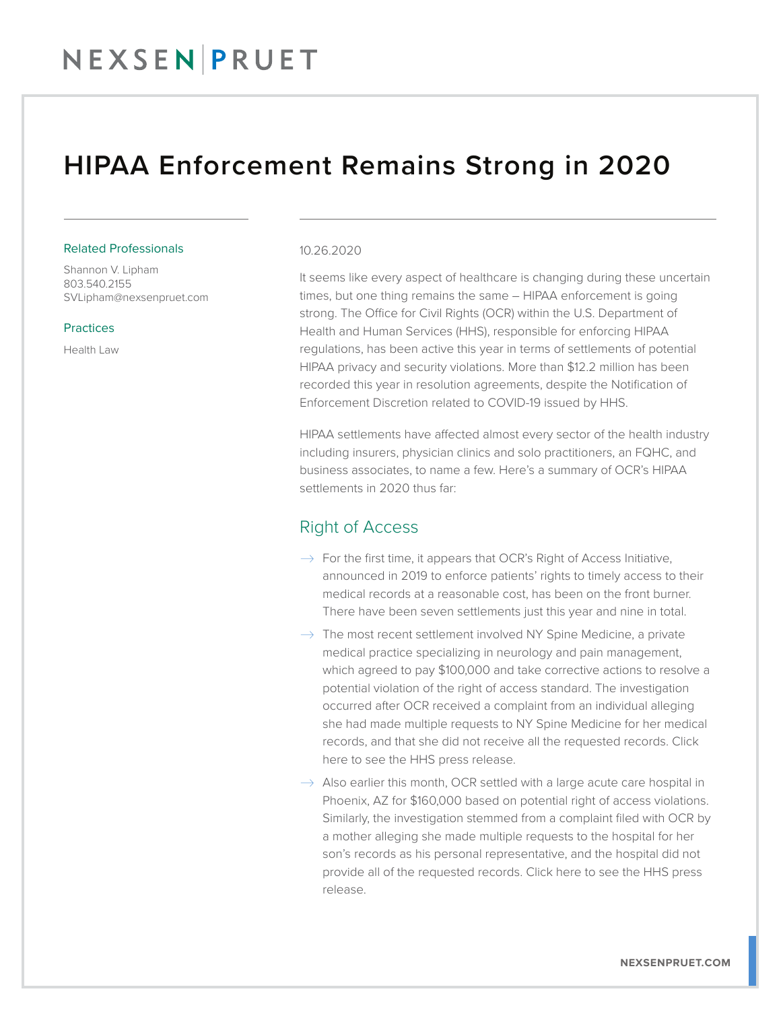## NEXSENPRUET

### HIPAA Enforcement Remains Strong in 2020

#### Related Professionals

Shannon V. Lipham 803.540.2155 SVLipham@nexsenpruet.com

**Practices** 

Health Law

#### 10.26.2020

It seems like every aspect of healthcare is changing during these uncertain times, but one thing remains the same – HIPAA enforcement is going strong. The Office for Civil Rights (OCR) within the U.S. Department of Health and Human Services (HHS), responsible for enforcing HIPAA regulations, has been active this year in terms of settlements of potential HIPAA privacy and security violations. More than \$12.2 million has been recorded this year in resolution agreements, despite the Notification of Enforcement Discretion related to COVID-19 issued by HHS.

HIPAA settlements have affected almost every sector of the health industry including insurers, physician clinics and solo practitioners, an FQHC, and business associates, to name a few. Here's a summary of OCR's HIPAA settlements in 2020 thus far:

#### Right of Access

- $\rightarrow$  For the first time, it appears that OCR's Right of Access Initiative, announced in 2019 to enforce patients' rights to timely access to their medical records at a reasonable cost, has been on the front burner. There have been seven settlements just this year and nine in total.
- $\rightarrow$  The most recent settlement involved NY Spine Medicine, a private medical practice specializing in neurology and pain management, which agreed to pay \$100,000 and take corrective actions to resolve a potential violation of the right of access standard. The investigation occurred after OCR received a complaint from an individual alleging she had made multiple requests to NY Spine Medicine for her medical records, and that she did not receive all the requested records. Click here to see the HHS press release.
- $\rightarrow$  Also earlier this month, OCR settled with a large acute care hospital in Phoenix, AZ for \$160,000 based on potential right of access violations. Similarly, the investigation stemmed from a complaint filed with OCR by a mother alleging she made multiple requests to the hospital for her son's records as his personal representative, and the hospital did not provide all of the requested records. Click here to see the HHS press release.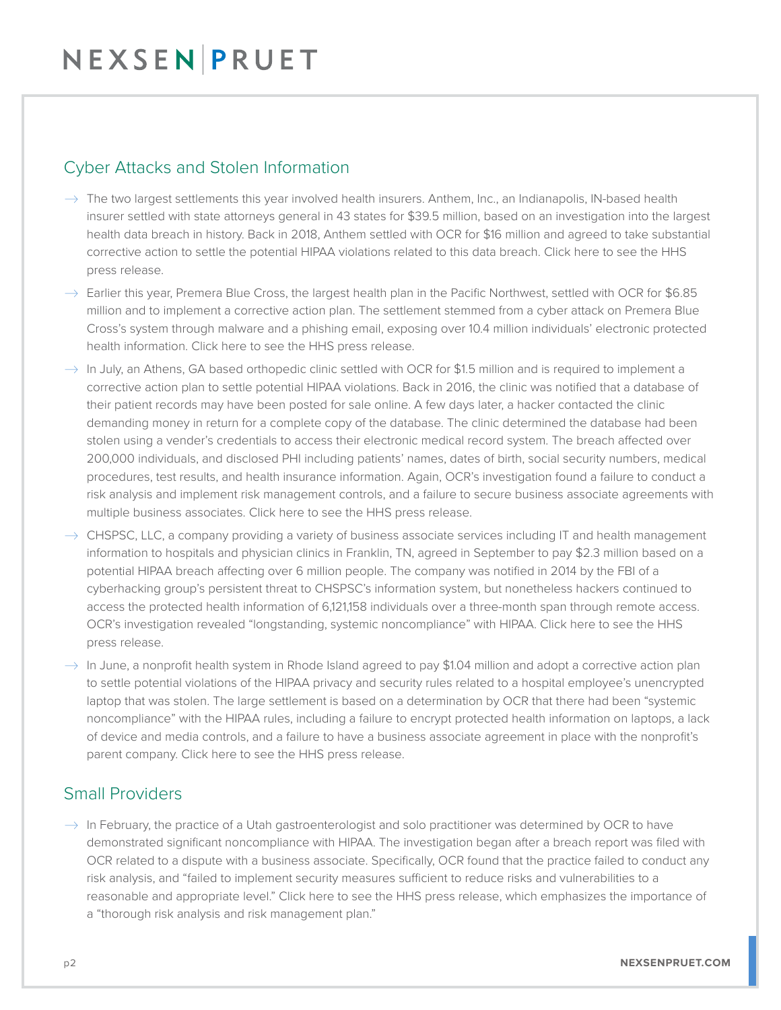## NEXSENPRUET

### Cyber Attacks and Stolen Information

- $\rightarrow$  The two largest settlements this year involved health insurers. Anthem, Inc., an Indianapolis, IN-based health insurer settled with state attorneys general in 43 states for \$39.5 million, based on an investigation into the largest health data breach in history. Back in 2018, Anthem settled with OCR for \$16 million and agreed to take substantial corrective action to settle the potential HIPAA violations related to this data breach. Click here to see the HHS press release.
- $\rightarrow$  Earlier this year, Premera Blue Cross, the largest health plan in the Pacific Northwest, settled with OCR for \$6.85 million and to implement a corrective action plan. The settlement stemmed from a cyber attack on Premera Blue Cross's system through malware and a phishing email, exposing over 10.4 million individuals' electronic protected health information. Click here to see the HHS press release.
- $\rightarrow$  In July, an Athens, GA based orthopedic clinic settled with OCR for \$1.5 million and is required to implement a corrective action plan to settle potential HIPAA violations. Back in 2016, the clinic was notified that a database of their patient records may have been posted for sale online. A few days later, a hacker contacted the clinic demanding money in return for a complete copy of the database. The clinic determined the database had been stolen using a vender's credentials to access their electronic medical record system. The breach affected over 200,000 individuals, and disclosed PHI including patients' names, dates of birth, social security numbers, medical procedures, test results, and health insurance information. Again, OCR's investigation found a failure to conduct a risk analysis and implement risk management controls, and a failure to secure business associate agreements with multiple business associates. Click here to see the HHS press release.
- $\rightarrow$  CHSPSC, LLC, a company providing a variety of business associate services including IT and health management information to hospitals and physician clinics in Franklin, TN, agreed in September to pay \$2.3 million based on a potential HIPAA breach affecting over 6 million people. The company was notified in 2014 by the FBI of a cyberhacking group's persistent threat to CHSPSC's information system, but nonetheless hackers continued to access the protected health information of 6,121,158 individuals over a three-month span through remote access. OCR's investigation revealed "longstanding, systemic noncompliance" with HIPAA. Click here to see the HHS press release.
- $\rightarrow$  In June, a nonprofit health system in Rhode Island agreed to pay \$1.04 million and adopt a corrective action plan to settle potential violations of the HIPAA privacy and security rules related to a hospital employee's unencrypted laptop that was stolen. The large settlement is based on a determination by OCR that there had been "systemic noncompliance" with the HIPAA rules, including a failure to encrypt protected health information on laptops, a lack of device and media controls, and a failure to have a business associate agreement in place with the nonprofit's parent company. Click here to see the HHS press release.

### Small Providers

 $\rightarrow$  In February, the practice of a Utah gastroenterologist and solo practitioner was determined by OCR to have demonstrated significant noncompliance with HIPAA. The investigation began after a breach report was filed with OCR related to a dispute with a business associate. Specifically, OCR found that the practice failed to conduct any risk analysis, and "failed to implement security measures sufficient to reduce risks and vulnerabilities to a reasonable and appropriate level." Click here to see the HHS press release, which emphasizes the importance of a "thorough risk analysis and risk management plan."